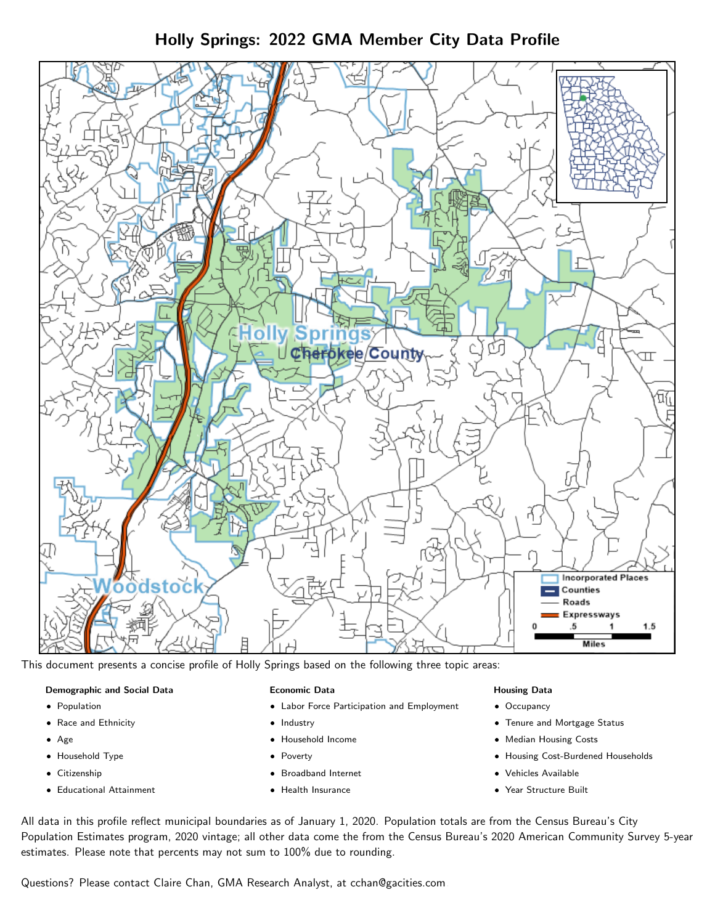Holly Springs: 2022 GMA Member City Data Profile



This document presents a concise profile of Holly Springs based on the following three topic areas:

### Demographic and Social Data

- **•** Population
- Race and Ethnicity
- Age
- Household Type
- **Citizenship**
- Educational Attainment

#### Economic Data

- Labor Force Participation and Employment
- Industry
- Household Income
- Poverty
- Broadband Internet
- Health Insurance

#### Housing Data

- Occupancy
- Tenure and Mortgage Status
- Median Housing Costs
- Housing Cost-Burdened Households
- Vehicles Available
- Year Structure Built

All data in this profile reflect municipal boundaries as of January 1, 2020. Population totals are from the Census Bureau's City Population Estimates program, 2020 vintage; all other data come the from the Census Bureau's 2020 American Community Survey 5-year estimates. Please note that percents may not sum to 100% due to rounding.

Questions? Please contact Claire Chan, GMA Research Analyst, at [cchan@gacities.com.](mailto:cchan@gacities.com)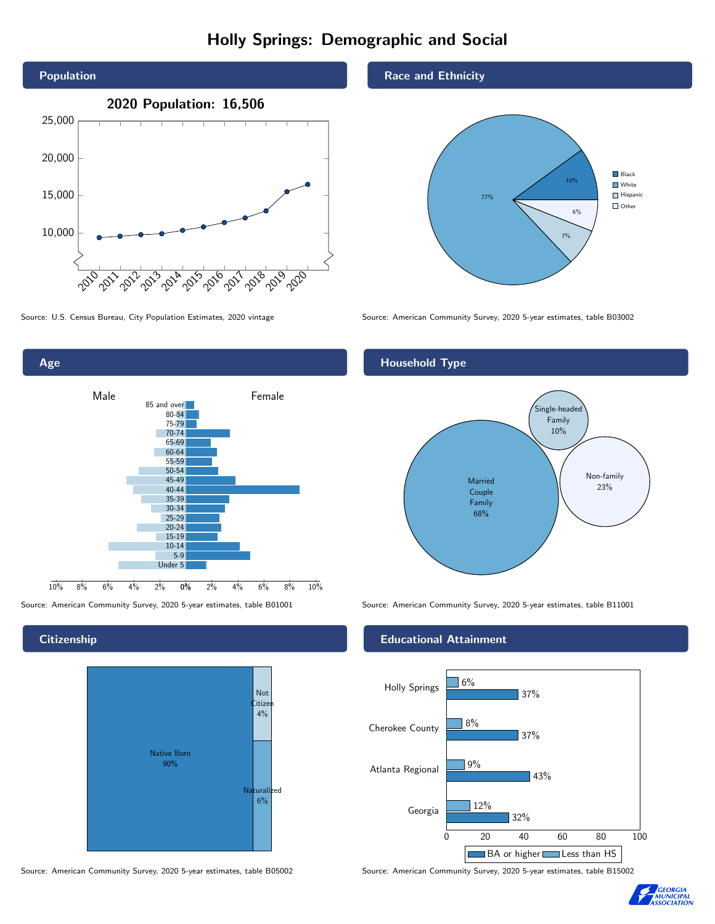# Holly Springs: Demographic and Social







**Citizenship** 



Source: American Community Survey, 2020 5-year estimates, table B05002 Source: American Community Survey, 2020 5-year estimates, table B15002

Race and Ethnicity



## Household Type



Source: American Community Survey, 2020 5-year estimates, table B01001 Source: American Community Survey, 2020 5-year estimates, table B11001

### Educational Attainment



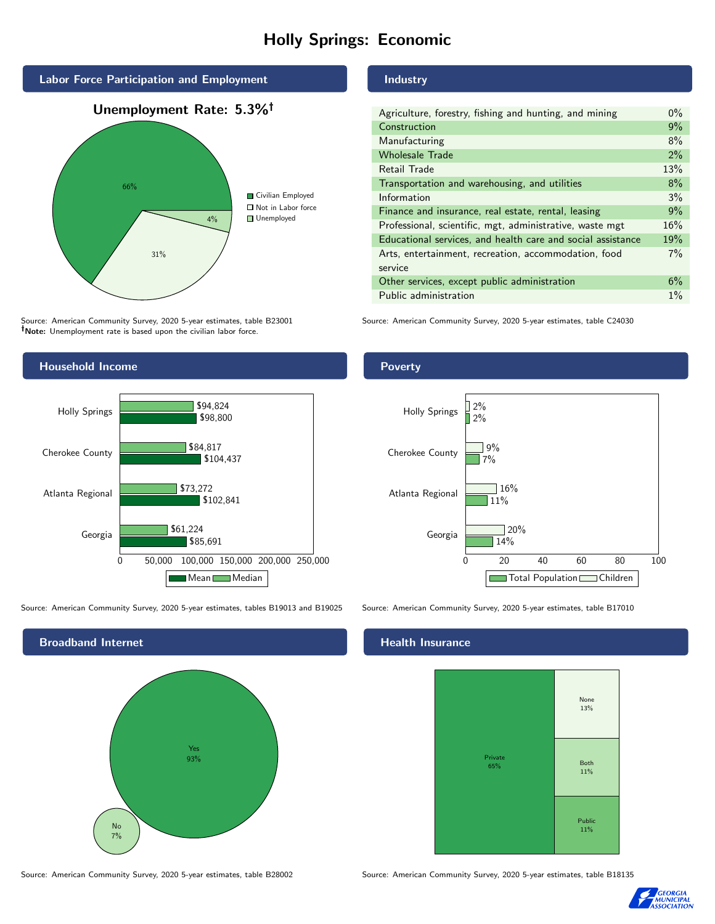# Holly Springs: Economic



Source: American Community Survey, 2020 5-year estimates, table B23001 Note: Unemployment rate is based upon the civilian labor force.



Source: American Community Survey, 2020 5-year estimates, tables B19013 and B19025 Source: American Community Survey, 2020 5-year estimates, table B17010



Source: American Community Survey, 2020 5-year estimates, table B28002 Source: American Community Survey, 2020 5-year estimates, table B18135

### Industry

| Agriculture, forestry, fishing and hunting, and mining      | $0\%$ |
|-------------------------------------------------------------|-------|
| Construction                                                | 9%    |
| Manufacturing                                               | 8%    |
| <b>Wholesale Trade</b>                                      | 2%    |
| Retail Trade                                                | 13%   |
| Transportation and warehousing, and utilities               | 8%    |
| Information                                                 | 3%    |
| Finance and insurance, real estate, rental, leasing         | 9%    |
| Professional, scientific, mgt, administrative, waste mgt    | 16%   |
| Educational services, and health care and social assistance | 19%   |
| Arts, entertainment, recreation, accommodation, food        | 7%    |
| service                                                     |       |
| Other services, except public administration                | 6%    |
| Public administration                                       | $1\%$ |

Source: American Community Survey, 2020 5-year estimates, table C24030

#### **Poverty**



#### Health Insurance